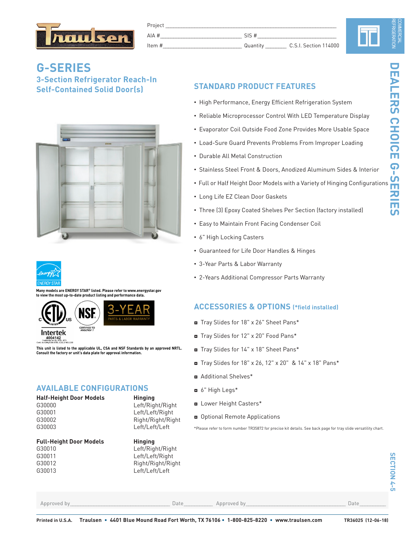

| Project  |          |                       |
|----------|----------|-----------------------|
| $AIA$ #  | SIS #    |                       |
| Item $#$ | Quantity | C.S.I. Section 114000 |

N

**DEALERS CHOICE G-SERIES**

# **G-SERIES 3-Section Refrigerator Reach-In Self-Contained Solid Door(s)**





**Many models are ENERGY STAR® listed. Please refer to www.energystar.gov to view the most up-to-date product listing and performance data.**





**This unit is listed to the applicable UL, CSA and NSF Standards by an approved NRTL. Consult the factory or unit's data plate for approval information.**

# **AVAILABLE CONFIGURATIONS**

| Half-Height Door Models |
|-------------------------|
| G30000                  |
| G30001                  |
| G30002                  |

# **Full-Height Door Models Hinging**



**Hinging** Left/Right/Right Left/Left/Right Right/Right/Right

### **STANDARD PRODUCT FEATURES**

- High Performance, Energy Efficient Refrigeration System
- Reliable Microprocessor Control With LED Temperature Display
- Evaporator Coil Outside Food Zone Provides More Usable Space
- Load-Sure Guard Prevents Problems From Improper Loading
- Durable All Metal Construction
- Stainless Steel Front & Doors, Anodized Aluminum Sides & Interior
- High Performance, Energy Efficient Refrigeration System<br>• Reliable Microprocessor Control With LED Temperature Display<br>• Evaporator Coil Outside Food Zone Provides More Usable Space<br>• Load-Sure Guard Prevents Problems F
- Long Life EZ Clean Door Gaskets
- Three (3) Epoxy Coated Shelves Per Section (factory installed)
- Easy to Maintain Front Facing Condenser Coil
- 6" High Locking Casters
- Guaranteed for Life Door Handles & Hinges
- 3-Year Parts & Labor Warranty
- 2-Years Additional Compressor Parts Warranty

### **ACCESSORIES & OPTIONS (\*field installed)**

- ◘ Tray Slides for 18" x 26" Sheet Pans\*
- ◘ Tray Slides for 12" x 20" Food Pans\*
- ◘ Tray Slides for 14" x 18" Sheet Pans\*
- ◘ Tray Slides for 18" x 26, 12" x 20" & 14" x 18" Pans\*
- ◘ Additional Shelves\*
- ◘ 6" High Legs\*
- ◘ Lower Height Casters\*
- ◘ Optional Remote Applications

\*Please refer to form number TR35872 for precise kit details. See back page for tray slide versatility chart.

Approved by\_\_\_\_\_\_\_\_\_\_\_\_\_\_\_\_\_\_\_\_\_\_\_\_\_\_\_\_\_\_\_\_\_\_\_\_\_\_ Date\_\_\_\_\_\_\_\_\_\_\_ Approved by\_\_\_\_\_\_\_\_\_\_\_\_\_\_\_\_\_\_\_\_\_\_\_\_\_\_\_\_\_\_\_\_\_\_\_\_\_\_ Date\_\_\_\_\_\_\_\_\_\_

G30003 Left/Left/Left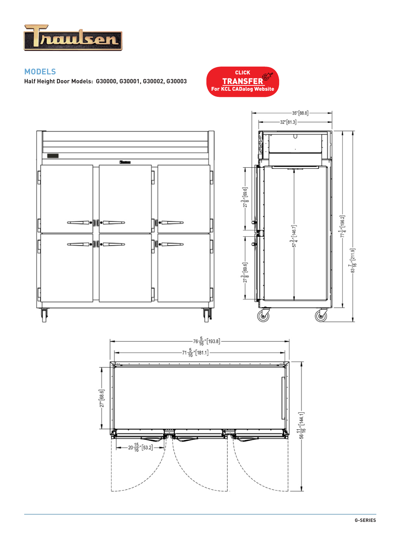

### **MODELS**

**Half Height Door Models: G30000, G30001, G30002, G30003** 



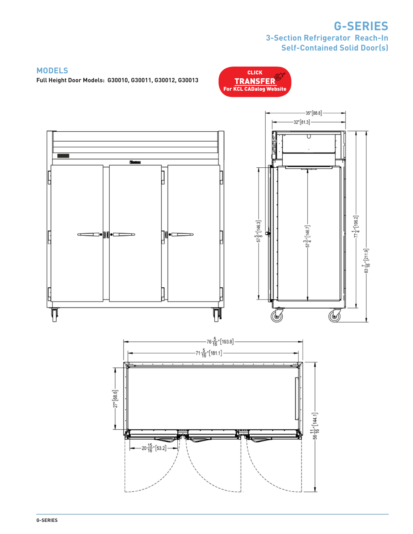# **G-SERIES 3-Section Refrigerator Reach-In Self-Contained Solid Door(s)**

 $-56\frac{11}{16}$   $\cdot$   $[144.1]$   $-$ 

CLICK

### **MODELS**

**Full Height Door Models: G30010, G30011, G30012, G30013**



 $-20\frac{15}{16}$  [53.2]

**G-SERIES**